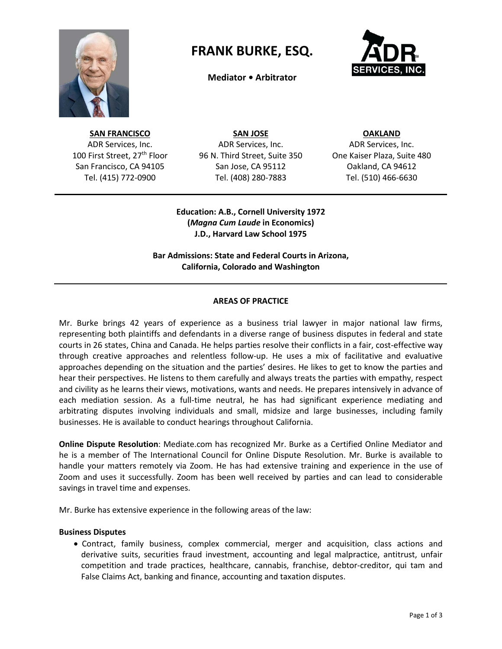

# **FRANK BURKE, ESQ.**

# **Mediator • Arbitrator**



**SAN FRANCISCO SAN JOSE OAKLAND** ADR Services, Inc.

100 First Street, 27<sup>th</sup> Floor San Francisco, CA 94105 Tel. (415) 772-0900

ADR Services, Inc. 96 N. Third Street, Suite 350 San Jose, CA 95112 Tel. (408) 280-7883

ADR Services, Inc. One Kaiser Plaza, Suite 480 Oakland, CA 94612 Tel. (510) 466-6630

**Education: A.B., Cornell University 1972 (***Magna Cum Laude* **in Economics) J.D., Harvard Law School 1975**

**Bar Admissions: State and Federal Courts in Arizona, California, Colorado and Washington**

## **AREAS OF PRACTICE**

Mr. Burke brings 42 years of experience as a business trial lawyer in major national law firms, representing both plaintiffs and defendants in a diverse range of business disputes in federal and state courts in 26 states, China and Canada. He helps parties resolve their conflicts in a fair, cost-effective way through creative approaches and relentless follow-up. He uses a mix of facilitative and evaluative approaches depending on the situation and the parties' desires. He likes to get to know the parties and hear their perspectives. He listens to them carefully and always treats the parties with empathy, respect and civility as he learns their views, motivations, wants and needs. He prepares intensively in advance of each mediation session. As a full-time neutral, he has had significant experience mediating and arbitrating disputes involving individuals and small, midsize and large businesses, including family businesses. He is available to conduct hearings throughout California.

**Online Dispute Resolution**: Mediate.com has recognized Mr. Burke as a Certified Online Mediator and he is a member of The International Council for Online Dispute Resolution. Mr. Burke is available to handle your matters remotely via Zoom. He has had extensive training and experience in the use of Zoom and uses it successfully. Zoom has been well received by parties and can lead to considerable savings in travel time and expenses.

Mr. Burke has extensive experience in the following areas of the law:

#### **Business Disputes**

• Contract, family business, complex commercial, merger and acquisition, class actions and derivative suits, securities fraud investment, accounting and legal malpractice, antitrust, unfair competition and trade practices, healthcare, cannabis, franchise, debtor-creditor, qui tam and False Claims Act, banking and finance, accounting and taxation disputes.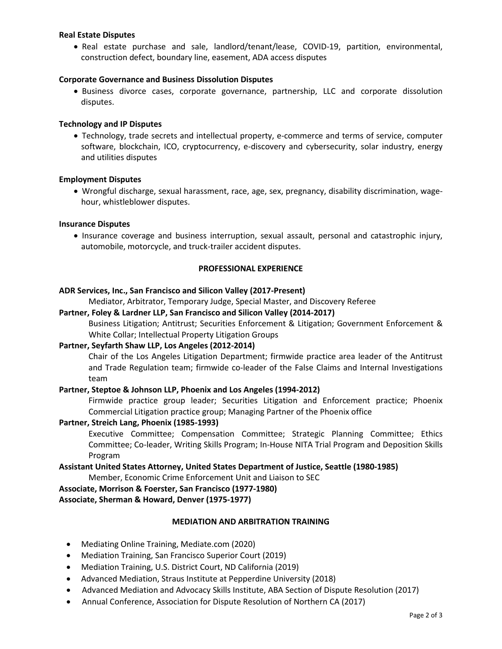## **Real Estate Disputes**

• Real estate purchase and sale, landlord/tenant/lease, COVID-19, partition, environmental, construction defect, boundary line, easement, ADA access disputes

## **Corporate Governance and Business Dissolution Disputes**

• Business divorce cases, corporate governance, partnership, LLC and corporate dissolution disputes.

## **Technology and IP Disputes**

• Technology, trade secrets and intellectual property, e-commerce and terms of service, computer software, blockchain, ICO, cryptocurrency, e-discovery and cybersecurity, solar industry, energy and utilities disputes

## **Employment Disputes**

• Wrongful discharge, sexual harassment, race, age, sex, pregnancy, disability discrimination, wagehour, whistleblower disputes.

## **Insurance Disputes**

• Insurance coverage and business interruption, sexual assault, personal and catastrophic injury, automobile, motorcycle, and truck-trailer accident disputes.

## **PROFESSIONAL EXPERIENCE**

## **ADR Services, Inc., San Francisco and Silicon Valley (2017-Present)**

Mediator, Arbitrator, Temporary Judge, Special Master, and Discovery Referee

## **Partner, Foley & Lardner LLP, San Francisco and Silicon Valley (2014-2017)**

Business Litigation; Antitrust; Securities Enforcement & Litigation; Government Enforcement & White Collar; Intellectual Property Litigation Groups

#### **Partner, Seyfarth Shaw LLP, Los Angeles (2012-2014)**

Chair of the Los Angeles Litigation Department; firmwide practice area leader of the Antitrust and Trade Regulation team; firmwide co-leader of the False Claims and Internal Investigations team

## **Partner, Steptoe & Johnson LLP, Phoenix and Los Angeles (1994-2012)**

Firmwide practice group leader; Securities Litigation and Enforcement practice; Phoenix Commercial Litigation practice group; Managing Partner of the Phoenix office

#### **Partner, Streich Lang, Phoenix (1985-1993)**

Executive Committee; Compensation Committee; Strategic Planning Committee; Ethics Committee; Co-leader, Writing Skills Program; In-House NITA Trial Program and Deposition Skills Program

# **Assistant United States Attorney, United States Department of Justice, Seattle (1980-1985)**

Member, Economic Crime Enforcement Unit and Liaison to SEC

**Associate, Morrison & Foerster, San Francisco (1977-1980)**

**Associate, Sherman & Howard, Denver (1975-1977)**

#### **MEDIATION AND ARBITRATION TRAINING**

- Mediating Online Training, Mediate.com (2020)
- Mediation Training, San Francisco Superior Court (2019)
- Mediation Training, U.S. District Court, ND California (2019)
- Advanced Mediation, Straus Institute at Pepperdine University (2018)
- Advanced Mediation and Advocacy Skills Institute, ABA Section of Dispute Resolution (2017)
- Annual Conference, Association for Dispute Resolution of Northern CA (2017)